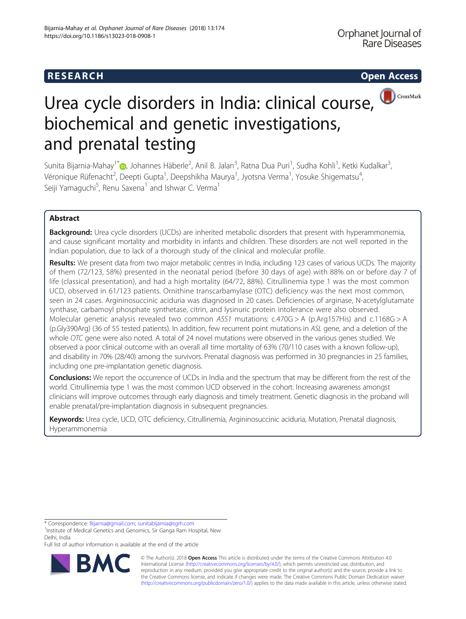## **RESEARCH CHINESEARCH CHINESEARCH CHINESE**



# Urea cycle disorders in India: clinical course, biochemical and genetic investigations, and prenatal testing

Sunita Bijarnia-Mahay<sup>1\*</sup>�[,](http://orcid.org/0000-0002-5255-8212) Johannes Häberle<sup>2</sup>, Anil B. Jalan<sup>3</sup>, Ratna Dua Puri<sup>1</sup>, Sudha Kohli<sup>1</sup>, Ketki Kudalkar<sup>3</sup> , Véronique Rüfenacht<sup>2</sup>, Deepti Gupta<sup>1</sup>, Deepshikha Maurya<sup>1</sup>, Jyotsna Verma<sup>1</sup>, Yosuke Shigematsu<sup>4</sup> , Seiji Yamaguchi<sup>5</sup>, Renu Saxena<sup>1</sup> and Ishwar C. Verma<sup>1</sup>

## Abstract

Background: Urea cycle disorders (UCDs) are inherited metabolic disorders that present with hyperammonemia, and cause significant mortality and morbidity in infants and children. These disorders are not well reported in the Indian population, due to lack of a thorough study of the clinical and molecular profile.

Results: We present data from two major metabolic centres in India, including 123 cases of various UCDs. The majority of them (72/123, 58%) presented in the neonatal period (before 30 days of age) with 88% on or before day 7 of life (classical presentation), and had a high mortality (64/72, 88%). Citrullinemia type 1 was the most common UCD, observed in 61/123 patients. Ornithine transcarbamylase (OTC) deficiency was the next most common, seen in 24 cases. Argininosuccinic aciduria was diagnosed in 20 cases. Deficiencies of arginase, N-acetylglutamate synthase, carbamoyl phosphate synthetase, citrin, and lysinuric protein intolerance were also observed. Molecular genetic analysis revealed two common ASS1 mutations: c.470G > A (p.Arg157His) and c.1168G > A (p.Gly390Arg) (36 of 55 tested patients). In addition, few recurrent point mutations in ASL gene, and a deletion of the whole OTC gene were also noted. A total of 24 novel mutations were observed in the various genes studied. We observed a poor clinical outcome with an overall all time mortality of 63% (70/110 cases with a known follow-up), and disability in 70% (28/40) among the survivors. Prenatal diagnosis was performed in 30 pregnancies in 25 families, including one pre-implantation genetic diagnosis.

Conclusions: We report the occurrence of UCDs in India and the spectrum that may be different from the rest of the world. Citrullinemia type 1 was the most common UCD observed in the cohort. Increasing awareness amongst clinicians will improve outcomes through early diagnosis and timely treatment. Genetic diagnosis in the proband will enable prenatal/pre-implantation diagnosis in subsequent pregnancies.

Keywords: Urea cycle, UCD, OTC deficiency, Citrullinemia, Argininosuccinic aciduria, Mutation, Prenatal diagnosis, Hyperammonemia

\* Correspondence: [Bijarnia@gmail.com;](mailto:Bijarnia@gmail.com) [sunitabijarnia@sgrh.com](mailto:sunitabijarnia@sgrh.com) <sup>1</sup>

<sup>1</sup> Institute of Medical Genetics and Genomics, Sir Ganga Ram Hospital, New Delhi, India

Full list of author information is available at the end of the article



© The Author(s). 2018 Open Access This article is distributed under the terms of the Creative Commons Attribution 4.0 International License [\(http://creativecommons.org/licenses/by/4.0/](http://creativecommons.org/licenses/by/4.0/)), which permits unrestricted use, distribution, and reproduction in any medium, provided you give appropriate credit to the original author(s) and the source, provide a link to the Creative Commons license, and indicate if changes were made. The Creative Commons Public Domain Dedication waiver [\(http://creativecommons.org/publicdomain/zero/1.0/](http://creativecommons.org/publicdomain/zero/1.0/)) applies to the data made available in this article, unless otherwise stated.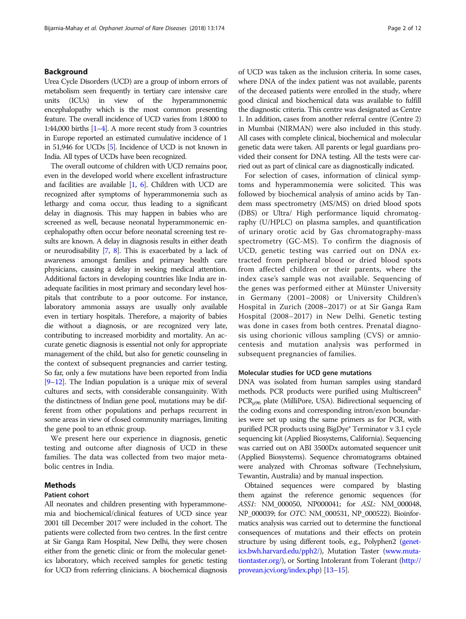## Background

Urea Cycle Disorders (UCD) are a group of inborn errors of metabolism seen frequently in tertiary care intensive care units (ICUs) in view of the hyperammonemic encephalopathy which is the most common presenting feature. The overall incidence of UCD varies from 1:8000 to 1:44,000 births [\[1](#page-10-0)–[4](#page-10-0)]. A more recent study from 3 countries in Europe reported an estimated cumulative incidence of 1 in 51,946 for UCDs [\[5\]](#page-10-0). Incidence of UCD is not known in India. All types of UCDs have been recognized.

The overall outcome of children with UCD remains poor, even in the developed world where excellent infrastructure and facilities are available  $[1, 6]$  $[1, 6]$  $[1, 6]$ . Children with UCD are recognized after symptoms of hyperammonemia such as lethargy and coma occur, thus leading to a significant delay in diagnosis. This may happen in babies who are screened as well, because neonatal hyperammonemic encephalopathy often occur before neonatal screening test results are known. A delay in diagnosis results in either death or neurodisability [\[7,](#page-10-0) [8\]](#page-10-0). This is exacerbated by a lack of awareness amongst families and primary health care physicians, causing a delay in seeking medical attention. Additional factors in developing countries like India are inadequate facilities in most primary and secondary level hospitals that contribute to a poor outcome. For instance, laboratory ammonia assays are usually only available even in tertiary hospitals. Therefore, a majority of babies die without a diagnosis, or are recognized very late, contributing to increased morbidity and mortality. An accurate genetic diagnosis is essential not only for appropriate management of the child, but also for genetic counseling in the context of subsequent pregnancies and carrier testing. So far, only a few mutations have been reported from India [[9](#page-10-0)–[12\]](#page-10-0). The Indian population is a unique mix of several cultures and sects, with considerable consanguinity. With the distinctness of Indian gene pool, mutations may be different from other populations and perhaps recurrent in some areas in view of closed community marriages, limiting the gene pool to an ethnic group.

We present here our experience in diagnosis, genetic testing and outcome after diagnosis of UCD in these families. The data was collected from two major metabolic centres in India.

## Methods

#### Patient cohort

All neonates and children presenting with hyperammonemia and biochemical/clinical features of UCD since year 2001 till December 2017 were included in the cohort. The patients were collected from two centres. In the first centre at Sir Ganga Ram Hospital, New Delhi, they were chosen either from the genetic clinic or from the molecular genetics laboratory, which received samples for genetic testing for UCD from referring clinicians. A biochemical diagnosis of UCD was taken as the inclusion criteria. In some cases, where DNA of the index patient was not available, parents of the deceased patients were enrolled in the study, where good clinical and biochemical data was available to fulfill the diagnostic criteria. This centre was designated as Centre 1. In addition, cases from another referral centre (Centre 2) in Mumbai (NIRMAN) were also included in this study. All cases with complete clinical, biochemical and molecular genetic data were taken. All parents or legal guardians provided their consent for DNA testing. All the tests were carried out as part of clinical care as diagnostically indicated.

For selection of cases, information of clinical symptoms and hyperammonemia were solicited. This was followed by biochemical analysis of amino acids by Tandem mass spectrometry (MS/MS) on dried blood spots (DBS) or Ultra/ High performance liquid chromatography (U/HPLC) on plasma samples, and quantification of urinary orotic acid by Gas chromatography-mass spectrometry (GC-MS). To confirm the diagnosis of UCD, genetic testing was carried out on DNA extracted from peripheral blood or dried blood spots from affected children or their parents, where the index case's sample was not available. Sequencing of the genes was performed either at Münster University in Germany (2001–2008) or University Children's Hospital in Zurich (2008–2017) or at Sir Ganga Ram Hospital (2008–2017) in New Delhi. Genetic testing was done in cases from both centres. Prenatal diagnosis using chorionic villous sampling (CVS) or amniocentesis and mutation analysis was performed in subsequent pregnancies of families.

## Molecular studies for UCD gene mutations

DNA was isolated from human samples using standard methods. PCR products were purified using Multiscreen<sup>R</sup> PCR<sub>u96</sub> plate (MilliPore, USA). Bidirectional sequencing of the coding exons and corresponding intron/exon boundaries were set up using the same primers as for PCR, with purified PCR products using BigDye® Terminator v 3.1 cycle sequencing kit (Applied Biosystems, California). Sequencing was carried out on ABI 3500Dx automated sequencer unit (Applied Biosystems). Sequence chromatograms obtained were analyzed with Chromas software (Technelysium, Tewantin, Australia) and by manual inspection.

Obtained sequences were compared by blasting them against the reference genomic sequences (for ASS1: NM\_000050, NP000041; for ASL: NM\_000048, NP\_000039; for OTC: NM\_000531, NP\_000522). Bioinformatics analysis was carried out to determine the functional consequences of mutations and their effects on protein structure by using different tools, e.g., Polyphen2 [\(genet](http://genetics.bwh.harvard.edu/pph2/)[ics.bwh.harvard.edu/pph2/\)](http://genetics.bwh.harvard.edu/pph2/), Mutation Taster ([www.muta](http://www.mutationtaster.org)[tiontaster.org/](http://www.mutationtaster.org)), or Sorting Intolerant from Tolerant ([http://](http://provean.jcvi.org/index.php) [provean.jcvi.org/index.php](http://provean.jcvi.org/index.php)) [\[13](#page-10-0)–[15\]](#page-10-0).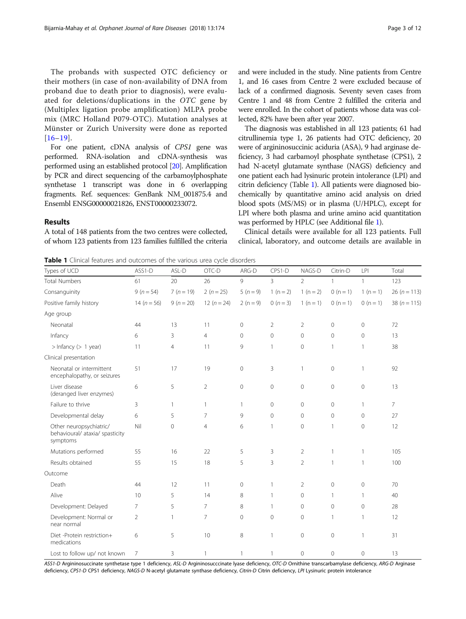<span id="page-2-0"></span>The probands with suspected OTC deficiency or their mothers (in case of non-availability of DNA from proband due to death prior to diagnosis), were evaluated for deletions/duplications in the OTC gene by (Multiplex ligation probe amplification) MLPA probe mix (MRC Holland P079-OTC). Mutation analyses at Münster or Zurich University were done as reported  $[16–19]$  $[16–19]$  $[16–19]$  $[16–19]$ .

For one patient, cDNA analysis of CPS1 gene was performed. RNA-isolation and cDNA-synthesis was performed using an established protocol [[20](#page-10-0)]. Amplification by PCR and direct sequencing of the carbamoylphosphate synthetase 1 transcript was done in 6 overlapping fragments. Ref. sequences: GenBank NM\_001875.4 and Ensembl ENSG00000021826, ENST00000233072.

## Results

A total of 148 patients from the two centres were collected, of whom 123 patients from 123 families fulfilled the criteria and were included in the study. Nine patients from Centre 1, and 16 cases from Centre 2 were excluded because of lack of a confirmed diagnosis. Seventy seven cases from Centre 1 and 48 from Centre 2 fulfilled the criteria and were enrolled. In the cohort of patients whose data was collected, 82% have been after year 2007.

The diagnosis was established in all 123 patients; 61 had citrullinemia type 1, 26 patients had OTC deficiency, 20 were of argininosuccinic aciduria (ASA), 9 had arginase deficiency, 3 had carbamoyl phosphate synthetase (CPS1), 2 had N-acetyl glutamate synthase (NAGS) deficiency and one patient each had lysinuric protein intolerance (LPI) and citrin deficiency (Table 1). All patients were diagnosed biochemically by quantitative amino acid analysis on dried blood spots (MS/MS) or in plasma (U/HPLC), except for LPI where both plasma and urine amino acid quantitation was performed by HPLC (see Additional file [1](#page-9-0)).

Clinical details were available for all 123 patients. Full clinical, laboratory, and outcome details are available in

Table 1 Clinical features and outcomes of the various urea cycle disorders

| Types of UCD                                                           | ASS1-D          | ASL-D          | OTC-D          | ARG-D          | CPS1-D         | NAGS-D         | Citrin-D            | LPI            | Total            |
|------------------------------------------------------------------------|-----------------|----------------|----------------|----------------|----------------|----------------|---------------------|----------------|------------------|
| <b>Total Numbers</b>                                                   | 61              | 20             | 26             | $\circ$        | 3              | $\overline{2}$ | $\mathbf{1}$        | $\mathbf{1}$   | 123              |
| Consanguinity                                                          | $9(n=54)$       | $7 (n = 19)$   | $2(n=25)$      | 5 ( $n = 9$ )  | $1(n=2)$       | $1 (n = 2)$    | $0(n=1)$            | $1(n=1)$       | 26 ( $n = 113$ ) |
| Positive family history                                                | 14 ( $n = 56$ ) | $9(n=20)$      | 12 $(n = 24)$  | $2(n=9)$       | 0 ( $n = 3$ )  | $1(n=1)$       | $0(n=1)$            | $0(n=1)$       | 38 ( $n = 115$ ) |
| Age group                                                              |                 |                |                |                |                |                |                     |                |                  |
| Neonatal                                                               | 44              | 13             | 11             | $\circ$        | $\overline{2}$ | $\overline{2}$ | $\circ$             | $\mathbf 0$    | 72               |
| Infancy                                                                | 6               | 3              | $\overline{4}$ | $\overline{0}$ | $\mathbf 0$    | $\overline{0}$ | $\circ$             | $\mathbf 0$    | 13               |
| $>$ Infancy ( $> 1$ year)                                              | 11              | $\overline{4}$ | 11             | 9              | $\mathbf{1}$   | $\mathbf 0$    | $\mathbf{1}$        | $\mathbf{1}$   | 38               |
| Clinical presentation                                                  |                 |                |                |                |                |                |                     |                |                  |
| Neonatal or intermittent<br>encephalopathy, or seizures                | 51              | 17             | 19             | $\mathbf 0$    | 3              | $\mathbf{1}$   | $\mathsf{O}\xspace$ | $\overline{1}$ | 92               |
| Liver disease<br>(deranged liver enzymes)                              | 6               | 5              | $\overline{2}$ | $\mathbf 0$    | $\mathbf{0}$   | $\mathbf 0$    | $\circ$             | $\mathbf{0}$   | 13               |
| Failure to thrive                                                      | 3               | 1              | 1              | $\mathbf{1}$   | $\mathbf{0}$   | $\mathbf 0$    | $\circ$             | $\mathbf{1}$   | $\overline{7}$   |
| Developmental delay                                                    | 6               | 5              | 7              | 9              | $\mathbf{0}$   | $\mathbf 0$    | $\circ$             | $\mathbf 0$    | 27               |
| Other neuropsychiatric/<br>behavioural/ ataxia/ spasticity<br>symptoms | Nil             | $\mathbf{0}$   | 4              | 6              | $\mathbf{1}$   | $\mathbf 0$    | $\mathbf{1}$        | $\mathbf 0$    | 12               |
| Mutations performed                                                    | 55              | 16             | 22             | 5              | $\mathbf{3}$   | $\overline{2}$ | $\mathbf{1}$        | $\mathbf{1}$   | 105              |
| Results obtained                                                       | 55              | 15             | 18             | 5              | $\overline{3}$ | $\overline{2}$ | $\mathbf{1}$        | $\mathbf{1}$   | 100              |
| Outcome                                                                |                 |                |                |                |                |                |                     |                |                  |
| Death                                                                  | 44              | 12             | 11             | $\mathbf 0$    | 1              | $\overline{2}$ | $\mathsf{O}\xspace$ | $\mathbf 0$    | 70               |
| Alive                                                                  | 10              | 5              | 14             | 8              | $\mathbf{1}$   | $\mathbf 0$    | $\mathbf{1}$        | $\mathbf{1}$   | 40               |
| Development: Delayed                                                   | $\overline{7}$  | 5              | $\overline{7}$ | 8              | $\mathbf{1}$   | $\Omega$       | $\overline{0}$      | $\overline{0}$ | 28               |
| Development: Normal or<br>near normal                                  | $\overline{2}$  | 1              | $\overline{7}$ | $\overline{0}$ | $\overline{0}$ | $\mathbf 0$    | $\mathbf{1}$        | $\mathbf{1}$   | 12               |
| Diet -Protein restriction+<br>medications                              | 6               | 5              | 10             | 8              | $\mathbf{1}$   | $\mathbf 0$    | $\mathbf 0$         | $\overline{1}$ | 31               |
| Lost to follow up/ not known                                           | 7               | 3              | $\mathbf{1}$   | $\mathbf{1}$   | $\mathbf{1}$   | $\mathbf 0$    | $\overline{0}$      | $\mathbf 0$    | 13               |

ASS1-D Argininosuccinate synthetase type 1 deficiency, ASL-D Argininosucccinate lyase deficiency, OTC-D Ornithine transcarbamylase deficiency, ARG-D Arginase deficiency, CPS1-D CPS1 deficiency, NAGS-D N-acetyl glutamate synthase deficiency, Citrin-D Citrin deficiency, LPI Lysinuric protein intolerance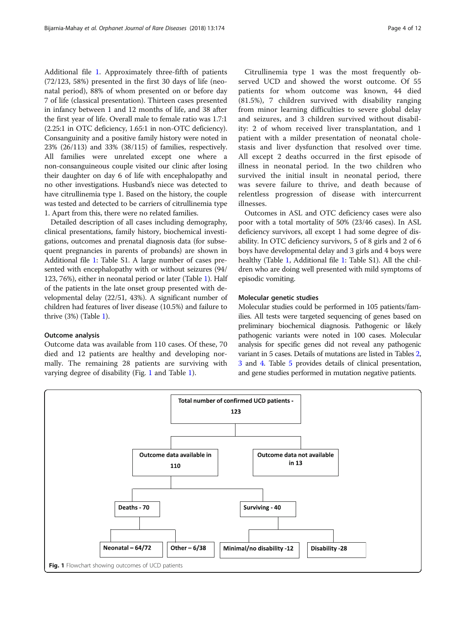Additional file [1.](#page-9-0) Approximately three-fifth of patients (72/123, 58%) presented in the first 30 days of life (neonatal period), 88% of whom presented on or before day 7 of life (classical presentation). Thirteen cases presented in infancy between 1 and 12 months of life, and 38 after the first year of life. Overall male to female ratio was 1.7:1 (2.25:1 in OTC deficiency, 1.65:1 in non-OTC deficiency). Consanguinity and a positive family history were noted in 23% (26/113) and 33% (38/115) of families, respectively. All families were unrelated except one where a non-consanguineous couple visited our clinic after losing their daughter on day 6 of life with encephalopathy and no other investigations. Husband's niece was detected to have citrullinemia type 1. Based on the history, the couple was tested and detected to be carriers of citrullinemia type 1. Apart from this, there were no related families.

Detailed description of all cases including demography, clinical presentations, family history, biochemical investigations, outcomes and prenatal diagnosis data (for subsequent pregnancies in parents of probands) are shown in Additional file [1](#page-9-0): Table S1. A large number of cases presented with encephalopathy with or without seizures (94/ 123, 76%), either in neonatal period or later (Table [1\)](#page-2-0). Half of the patients in the late onset group presented with developmental delay (22/51, 43%). A significant number of children had features of liver disease (10.5%) and failure to thrive (3%) (Table [1](#page-2-0)).

## Outcome analysis

Outcome data was available from 110 cases. Of these, 70 died and 12 patients are healthy and developing normally. The remaining 28 patients are surviving with varying degree of disability (Fig. 1 and Table [1\)](#page-2-0).

Citrullinemia type 1 was the most frequently observed UCD and showed the worst outcome. Of 55 patients for whom outcome was known, 44 died (81.5%), 7 children survived with disability ranging from minor learning difficulties to severe global delay and seizures, and 3 children survived without disability: 2 of whom received liver transplantation, and 1 patient with a milder presentation of neonatal cholestasis and liver dysfunction that resolved over time. All except 2 deaths occurred in the first episode of illness in neonatal period. In the two children who survived the initial insult in neonatal period, there was severe failure to thrive, and death because of relentless progression of disease with intercurrent illnesses.

Outcomes in ASL and OTC deficiency cases were also poor with a total mortality of 50% (23/46 cases). In ASL deficiency survivors, all except 1 had some degree of disability. In OTC deficiency survivors, 5 of 8 girls and 2 of 6 boys have developmental delay and 3 girls and 4 boys were healthy (Table [1,](#page-2-0) Additional file [1:](#page-9-0) Table S1). All the children who are doing well presented with mild symptoms of episodic vomiting.

### Molecular genetic studies

Molecular studies could be performed in 105 patients/families. All tests were targeted sequencing of genes based on preliminary biochemical diagnosis. Pathogenic or likely pathogenic variants were noted in 100 cases. Molecular analysis for specific genes did not reveal any pathogenic variant in 5 cases. Details of mutations are listed in Tables [2](#page-4-0), [3](#page-6-0) and [4](#page-7-0). Table [5](#page-7-0) provides details of clinical presentation, and gene studies performed in mutation negative patients.

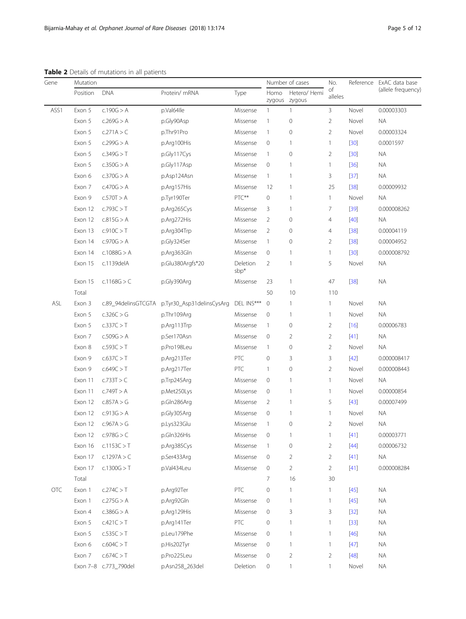| Gene | Mutation |                       |                                               | Number of cases    |                     | No.                    |                | Reference ExAC data base |                    |  |
|------|----------|-----------------------|-----------------------------------------------|--------------------|---------------------|------------------------|----------------|--------------------------|--------------------|--|
|      | Position | <b>DNA</b>            | Protein/ mRNA                                 | Type               | Homo<br>zygous      | Hetero/ Hemi<br>zygous | of<br>alleles  |                          | (allele frequency) |  |
| ASS1 | Exon 5   | c.190G > A            | p.Val64lle                                    | Missense           | $\mathbf{1}$        | $\mathbf{1}$           | 3              | Novel                    | 0.00003303         |  |
|      | Exon 5   | c.269G > A            | p.Gly90Asp                                    | Missense           | $\mathbf{1}$        | $\mathbf 0$            | 2              | Novel                    | ΝA                 |  |
|      | Exon 5   | c.271A > C            | p.Thr91Pro                                    | Missense           | $\mathbf{1}$        | 0                      | $\overline{2}$ | Novel                    | 0.00003324         |  |
|      | Exon 5   | c.299G > A            | p.Arg100His                                   | Missense           | $\mathbf 0$         | $\mathbf{1}$           | $\mathbf{1}$   | $[30]$                   | 0.0001597          |  |
|      | Exon 5   | c.349G > T            | p.Gly117Cys                                   | Missense           | $\mathbf{1}$        | 0                      | 2              | $[30]$                   | <b>NA</b>          |  |
|      | Exon 5   | c.350G > A            | p.Gly117Asp                                   | Missense           | 0                   | 1                      | 1              | $[36]$                   | <b>NA</b>          |  |
|      | Exon 6   | c.370G > A            | p.Asp124Asn                                   | Missense           | $\mathbf{1}$        | 1                      | 3              | $[37]$                   | <b>NA</b>          |  |
|      | Exon 7   | c.470G > A            | p.Arg157His                                   | Missense           | 12                  | $\mathbf{1}$           | 25             | $[38]$                   | 0.00009932         |  |
|      | Exon 9   | c.570T > A            | p.Tyr190Ter                                   | PTC**              | 0                   | $\mathbf{1}$           | $\mathbf{1}$   | Novel                    | <b>NA</b>          |  |
|      | Exon 12  | c.793C > T            | p.Arg265Cys                                   | Missense           | 3                   | $\mathbf{1}$           | 7              | $[39]$                   | 0.000008262        |  |
|      | Exon 12  | c.815G > A            | p.Arg272His                                   | Missense           | $\overline{2}$      | $\mathbf 0$            | 4              | $[40]$                   | <b>NA</b>          |  |
|      | Exon 13  | c.910C > T            | p.Arg304Trp                                   | Missense           | 2                   | 0                      | 4              | $[38]$                   | 0.00004119         |  |
|      | Exon 14  | c.970G > A            | p.Gly324Ser                                   | Missense           | $\mathbf{1}$        | $\mathbf 0$            | $\overline{2}$ | $[38]$                   | 0.00004952         |  |
|      | Exon 14  | c.1088G > A           | p.Arg363Gln                                   | Missense           | 0                   | 1                      | 1              | $[30]$                   | 0.000008792        |  |
|      | Exon 15  | c.1139delA            | p.Glu380Argfs*20                              | Deletion<br>$sbp*$ | $\overline{2}$      | 1                      | 5              | Novel                    | <b>NA</b>          |  |
|      | Exon 15  | c.1168G > C           | p.Gly390Arg                                   | Missense           | 23                  | 1                      | 47             | $[38]$                   | <b>NA</b>          |  |
|      | Total    |                       |                                               |                    | 50                  | 10                     | 110            |                          |                    |  |
| ASL  | Exon 3   |                       | c.89_94delinsGTCGTA p.Tyr30_Asp31delinsCysArg | DEL INS***         | $\circ$             | $\mathbf{1}$           | 1              | Novel                    | <b>NA</b>          |  |
|      | Exon 5   | c.326C > G            | p.Thr109Arg                                   | Missense           | $\mathbf 0$         | 1                      | $\mathbf{1}$   | Novel                    | <b>NA</b>          |  |
|      | Exon 5   | c.337C > T            | p.Arg113Trp                                   | Missense           | $\mathbf{1}$        | $\mathbf 0$            | 2              | $[16]$                   | 0.00006783         |  |
|      | Exon 7   | c.509G > A            | p.Ser170Asn                                   | Missense           | 0                   | 2                      | 2              | $[41]$                   | <b>NA</b>          |  |
|      | Exon 8   | c.593C > T            | p.Pro198Leu                                   | Missense           | $\mathbf{1}$        | 0                      | 2              | Novel                    | <b>NA</b>          |  |
|      | Exon 9   | c.637C > T            | p.Arg213Ter                                   | PTC                | 0                   | 3                      | 3              | $[42]$                   | 0.000008417        |  |
|      | Exon 9   | c.649C > T            | p.Arg217Ter                                   | PTC                | $\mathbf{1}$        | 0                      | 2              | Novel                    | 0.000008443        |  |
|      | Exon 11  | c.733T > C            | p.Trp245Arg                                   | Missense           | $\mathbf 0$         | 1                      | 1              | Novel                    | <b>NA</b>          |  |
|      | Exon 11  | c.749T > A            | p.Met250Lys                                   | Missense           | 0                   | $\mathbf{1}$           | $\mathbf{1}$   | Novel                    | 0.00000854         |  |
|      | Exon 12  | c.857A > G            | p.Gln286Arg                                   | Missense           | $\overline{2}$      | $\mathbf{1}$           | 5              | $[43]$                   | 0.00007499         |  |
|      | Exon 12  | c.913G > A            | p.Gly305Arg                                   | Missense           | $\mathsf{O}\xspace$ |                        | 1              | Novel                    | <b>NA</b>          |  |
|      |          | Exon 12 $c.967A > G$  | p.Lys323Glu                                   | Missense 1         |                     | 0                      |                | Novel                    | NA                 |  |
|      | Exon 12  | c.978G > C            | p.Gln326His                                   | Missense           | 0                   | 1                      | 1              | $[41]$                   | 0.00003771         |  |
|      | Exon 16  | c.1153C > T           | p.Arg385Cys                                   | Missense           | $\mathbf{1}$        | 0                      | 2              | $[44]$                   | 0.00006732         |  |
|      | Exon 17  | c.1297A > C           | p.Ser433Arg                                   | Missense           | 0                   | 2                      | 2              | $[41]$                   | <b>NA</b>          |  |
|      | Exon 17  | c.1300G > T           | p.Val434Leu                                   | Missense           | 0                   | 2                      | 2              | $[41]$                   | 0.000008284        |  |
|      | Total    |                       |                                               |                    | 7                   | 16                     | 30             |                          |                    |  |
| OTC  | Exon 1   | c.274C > T            | p.Arg92Ter                                    | PTC                | 0                   | 1                      | 1              | $[45]$                   | ΝA                 |  |
|      | Exon 1   | c.275G > A            | p.Arg92Gln                                    | Missense           | 0                   | 1                      | 1              | $[45]$                   | <b>NA</b>          |  |
|      | Exon 4   | c.386G > A            | p.Arg129His                                   | Missense           | 0                   | 3                      | 3              | $[32]$                   | $\sf NA$           |  |
|      | Exon 5   | c.421C > T            | p.Arg141Ter                                   | PTC                | 0                   | 1                      | 1              | $[33]$                   | <b>NA</b>          |  |
|      | Exon 5   | c.535C > T            | p.Leu179Phe                                   | Missense           | 0                   | 1                      | 1              | $[46]$                   | ΝA                 |  |
|      | Exon 6   | c.604C > T            | p.His202Tyr                                   | Missense           | 0                   |                        | 1              | $[47]$                   | $\sf NA$           |  |
|      | Exon 7   | c.674C > T            | p.Pro225Leu                                   | Missense           | 0                   | 2                      | 2              | $[48]$                   | <b>NA</b>          |  |
|      |          | Exon 7-8 c.773_790del | p.Asn258_263del                               | Deletion           | $\mathbf 0$         |                        |                | Novel                    | <b>NA</b>          |  |

<span id="page-4-0"></span>Table 2 Details of mutations in all patients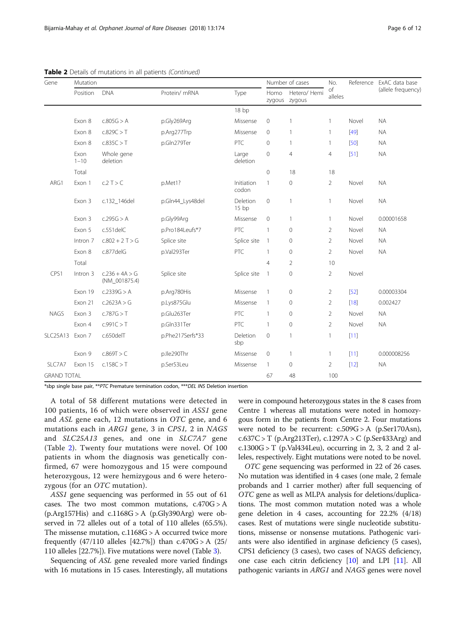| Gene               | Mutation            |                                   |                  | Number of cases     |                     | No.                    | Reference      | ExAC data base |                    |
|--------------------|---------------------|-----------------------------------|------------------|---------------------|---------------------|------------------------|----------------|----------------|--------------------|
|                    | Position            | <b>DNA</b>                        | Protein/ mRNA    | Type                | Homo<br>zygous      | Hetero/ Hemi<br>zygous | of<br>alleles  |                | (allele frequency) |
|                    |                     |                                   |                  | 18 <sub>bp</sub>    |                     |                        |                |                |                    |
|                    | Exon 8              | c.805G > A                        | p.Gly269Arg      | Missense            | $\mathsf{O}\xspace$ | $\mathbf{1}$           | $\mathbf{1}$   | Novel          | <b>NA</b>          |
|                    | Exon 8              | c.829C > T                        | p.Arg277Trp      | Missense            | $\mathbf{0}$        | $\mathbf{1}$           | $\mathbf{1}$   | $[49]$         | <b>NA</b>          |
|                    | Exon 8              | c.835C > T                        | p.Gln279Ter      | PTC                 | $\mathbf 0$         | $\mathbf{1}$           | $\mathbf{1}$   | $[50]$         | <b>NA</b>          |
|                    | Exon<br>$1 - 10$    | Whole gene<br>deletion            |                  | Large<br>deletion   | $\mathbf 0$         | $\overline{4}$         | $\overline{4}$ | $[51]$         | <b>NA</b>          |
|                    | Total               |                                   |                  |                     | $\circ$             | 18                     | 18             |                |                    |
| ARG1               | Exon 1              | c.2 T > C                         | p.Met1?          | Initiation<br>codon | $\mathbf{1}$        | $\mathbf 0$            | $\overline{2}$ | Novel          | <b>NA</b>          |
|                    | Exon 3              | c.132_146del                      | p.Gln44_Lys48del | Deletion<br>15bp    | $\circ$             | $\mathbf{1}$           | $\mathbf{1}$   | Novel          | <b>NA</b>          |
|                    | Exon 3              | c.295G > A                        | p.Gly99Arg       | Missense            | $\mathbf 0$         | $\mathbf{1}$           | $\mathbf{1}$   | Novel          | 0.00001658         |
|                    | Exon 5              | c.551 del C                       | p.Pro184Leufs*7  | PTC                 | $\mathbf{1}$        | $\mathbf{0}$           | 2              | Novel          | <b>NA</b>          |
|                    | Intron <sub>7</sub> | $C.802 + 2$ T > G                 | Splice site      | Splice site         | $\mathbf{1}$        | $\mathbf{0}$           | 2              | Novel          | <b>NA</b>          |
|                    | Exon 8              | c.877delG                         | p.Val293Ter      | PTC                 | $\mathbf{1}$        | $\mathbf{0}$           | $\overline{2}$ | Novel          | <b>NA</b>          |
|                    | Total               |                                   |                  |                     | $\overline{4}$      | $\overline{2}$         | 10             |                |                    |
| CPS1               | Intron 3            | $c.236 + 4A > G$<br>(NM_001875.4) | Splice site      | Splice site         | $\mathbf{1}$        | $\mathbf 0$            | $\overline{2}$ | Novel          |                    |
|                    | Exon 19             | c.2339G > A                       | p.Arg780His      | Missense            | $\mathbf{1}$        | $\mathbf{0}$           | $\overline{2}$ | $[52]$         | 0.00003304         |
|                    | Exon 21             | c.2623A > G                       | p.Lys875Glu      | Missense            | 1                   | $\mathbf{0}$           | 2              | $[18]$         | 0.002427           |
| <b>NAGS</b>        | Exon 3              | c.787G > T                        | p.Glu263Ter      | PTC                 | $\mathbf{1}$        | $\mathbf{0}$           | $\overline{2}$ | Novel          | <b>NA</b>          |
|                    | Exon 4              | c.991C > T                        | p.Gln331Ter      | PTC                 | $\mathbf{1}$        | $\mathbf 0$            | $\overline{2}$ | Novel          | <b>NA</b>          |
| <b>SLC25A13</b>    | Exon 7              | c.650delT                         | p.Phe217Serfs*33 | Deletion<br>sbp     | $\mathsf{O}\xspace$ | 1                      | $\mathbf{1}$   | $[11]$         |                    |
|                    | Exon 9              | c.869T > C                        | p.lle290Thr      | Missense            | $\circ$             | $\mathbf{1}$           | $\mathbf{1}$   | $[11]$         | 0.000008256        |
| SLC7A7             | Exon 15             | c.158C > T                        | p.Ser53Leu       | Missense            | $\mathbf{1}$        | $\mathbf{0}$           | 2              | $[12]$         | <b>NA</b>          |
| <b>GRAND TOTAL</b> |                     |                                   |                  |                     | 67                  | 48                     | 100            |                |                    |

Table 2 Details of mutations in all patients (Continued)

\*sbp single base pair, \*\*PTC Premature termination codon, \*\*\*DEL INS Deletion insertion

A total of 58 different mutations were detected in 100 patients, 16 of which were observed in ASS1 gene and ASL gene each, 12 mutations in OTC gene, and 6 mutations each in ARG1 gene, 3 in CPS1, 2 in NAGS and SLC25A13 genes, and one in SLC7A7 gene (Table [2](#page-4-0)). Twenty four mutations were novel. Of 100 patients in whom the diagnosis was genetically confirmed, 67 were homozygous and 15 were compound heterozygous, 12 were hemizygous and 6 were heterozygous (for an OTC mutation).

ASS1 gene sequencing was performed in 55 out of 61 cases. The two most common mutations,  $c.470G > A$  $(p.\text{Arg157His})$  and  $c.\text{1168G} > A$   $(p.\text{Gly390Arg})$  were observed in 72 alleles out of a total of 110 alleles (65.5%). The missense mutation, c.1168G > A occurred twice more frequently  $(47/110 \text{ alleles } [42.7\%])$  than  $c.470G > A$   $(25/$ 110 alleles [22.7%]). Five mutations were novel (Table [3\)](#page-6-0).

Sequencing of ASL gene revealed more varied findings with 16 mutations in 15 cases. Interestingly, all mutations

were in compound heterozygous states in the 8 cases from Centre 1 whereas all mutations were noted in homozygous form in the patients from Centre 2. Four mutations were noted to be recurrent:  $c.509G > A$  (p.Ser170Asn),  $c.637C > T$  (p.Arg213Ter),  $c.1297A > C$  (p.Ser433Arg) and  $c.1300G > T$  (p.Val434Leu), occurring in 2, 3, 2 and 2 alleles, respectively. Eight mutations were noted to be novel.

OTC gene sequencing was performed in 22 of 26 cases. No mutation was identified in 4 cases (one male, 2 female probands and 1 carrier mother) after full sequencing of OTC gene as well as MLPA analysis for deletions/duplications. The most common mutation noted was a whole gene deletion in 4 cases, accounting for 22.2% (4/18) cases. Rest of mutations were single nucleotide substitutions, missense or nonsense mutations. Pathogenic variants were also identified in arginase deficiency (5 cases), CPS1 deficiency (3 cases), two cases of NAGS deficiency, one case each citrin deficiency [[10](#page-10-0)] and LPI [\[11](#page-10-0)]. All pathogenic variants in ARG1 and NAGS genes were novel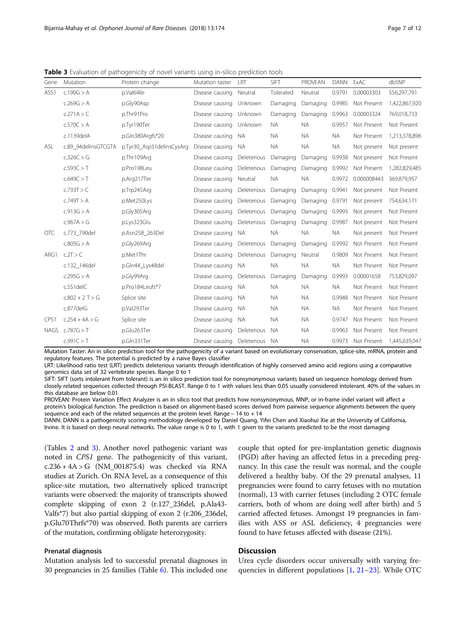<span id="page-6-0"></span>Table 3 Evaluation of pathogenicity of novel variants using in-silico prediction tools

| Gene        | Mutation            | Protein change            | Mutation taster             | LRT         | SIFT      | <b>PROVEAN</b> | DANN      | <b>ExAC</b>        | dbSNP         |
|-------------|---------------------|---------------------------|-----------------------------|-------------|-----------|----------------|-----------|--------------------|---------------|
| ASS1        | c.190G > A          | p.Val64lle                | Disease causing             | Neutral     | Tolerated | Neutral        | 0.9791    | 0.00003303         | 556,297,791   |
|             | c.269G > A          | p.Gly90Asp                | Disease causing             | Unknown     | Damaging  | Damaging       | 0.9985    | Not Present        | 1,422,867,920 |
|             | c.271A > C          | p.Thr91Pro                | Disease causing             | Unknown     | Damaging  | Damaging       | 0.9963    | 0.00003324         | 769,018,733   |
|             | c.570C > A          | p.Tyr190Ter               | Disease causing             | Unknown     | <b>NA</b> | <b>NA</b>      | 0.9957    | Not Present        | Not Present   |
|             | c.1139delA          | p.Gln380Argfs*20          | Disease causing             | <b>NA</b>   | <b>NA</b> | <b>NA</b>      | <b>NA</b> | Not Present        | 1,213,378,896 |
| ASL         | c.89 94delinsGTCGTA | p.Tyr30 Asp31delinsCysArg | Disease causing             | <b>NA</b>   | <b>NA</b> | <b>NA</b>      | <b>NA</b> | Not present        | Not present   |
|             | c.326C > G          | p.Thr109Arg               | Disease causing             | Deleterious | Damaging  | Damaging       | 0.9938    | Not present        | Not Present   |
|             | c.593C > T          | p.Pro198Leu               | Disease causing             | Deleterious | Damaging  | Damaging       | 0.9992    | Not Present        | 1,282,829,485 |
|             | c.649C > T          | p.Arg217Ter               | Disease causing             | Neutral     | <b>NA</b> | <b>NA</b>      | 0.9972    | 0.000008443        | 369,879,957   |
|             | c.733T > C          | p.Trp245Arg               | Disease causing             | Deleterious | Damaging  | Damaging       | 0.9941    | Not present        | Not Present   |
|             | c.749T > A          | p.Met250Lys               | Disease causing             | Deleterious | Damaging  | Damaging       | 0.9791    | Not present        | 754,634,171   |
|             | c.913G > A          | p.Gly305Arg               | Disease causing             | Deleterious | Damaging  | Damaging       | 0.9993    | Not present        | Not Present   |
|             | c.967A > G          | p.Lys323Glu               | Disease causing             | Deleterious | Damaging  | Damaging       | 0.9987    | Not present        | Not Present   |
| <b>OTC</b>  | c.773 790del        | p.Asn258 263Del           | Disease causing             | <b>NA</b>   | <b>NA</b> | <b>NA</b>      | <b>NA</b> | Not present        | Not Present   |
|             | c.805G > A          | p.Gly269Arg               | Disease causing             | Deleterious | Damaging  | Damaging       | 0.9992    | Not Present        | Not Present   |
| ARG1        | c.2T > C            | p.Met1Thr                 | Disease causing             | Deleterious | Damaging  | Neutral        | 0.9809    | Not Present        | Not Present   |
|             | c.132_146del        | p.Gln44_Lys48del          | Disease causing             | <b>NA</b>   | <b>NA</b> | <b>NA</b>      | <b>NA</b> | Not Present        | Not Present   |
|             | c.295G > A          | p.Gly99Arg                | Disease causing             | Deleterious | Damaging  | Damaging       | 0.9993    | 0.00001658         | 753,829,097   |
|             | c.551 del C         | p.Pro184Leufs*7           | Disease causing             | <b>NA</b>   | <b>NA</b> | <b>NA</b>      | <b>NA</b> | Not Present        | Not Present   |
|             | $c.802 + 2 T > G$   | Splice site               | Disease causing             | NA.         | <b>NA</b> | <b>NA</b>      | 0.9948    | Not Present        | Not Present   |
|             | c.877delG           | p.Val293Ter               | Disease causing             | <b>NA</b>   | <b>NA</b> | <b>NA</b>      | <b>NA</b> | Not Present        | Not Present   |
| CPS1        | $C.254 + 4A > G$    | Splice site               | Disease causing             | NA.         | <b>NA</b> | <b>NA</b>      | 0.9747    | Not Present        | Not Present   |
| <b>NAGS</b> | c.787G > T          | p.Glu263Ter               | Disease causing             | Deleterious | NA.       | <b>NA</b>      | 0.9963    | Not Present        | Not Present   |
|             | c.991C > T          | p.Gln331Ter               | Disease causing Deleterious |             | - NA      | <b>NA</b>      |           | 0.9973 Not Present | 1,445,639,047 |

Mutation Taster: An in silico prediction tool for the pathogenicity of a variant based on evolutionary conservation, splice-site, mRNA, protein and regulatory features. The potential is predicted by a naive Bayes classifier

LRT: Likelihood ratio test (LRT) predicts deleterious variants through identification of highly conserved amino acid regions using a comparative genomics data set of 32 vertebrate species. Range 0 to 1

SIFT: SIFT (sorts intolerant from tolerant) is an in silico prediction tool for nonsynonymous variants based on sequence homology derived from closely related sequences collected through PSI-BLAST. Range 0 to 1 with values less than 0.05 usually considered intolerant. 40% of the values in this database are below 0.01

PROVEAN: Protein Variation Effect Analyzer is an in silico tool that predicts how nonsynonymous, MNP, or in-frame indel variant will affect a protein's biological function. The prediction is based on alignment-based scores derived from pairwise sequence alignments between the query sequence and each of the related sequences at the protein level. Range – 14 to + 14

DANN: DANN is a pathogenicity scoring methodology developed by Daniel Quang, Yifei Chen and Xiaohui Xie at the University of California, Irvine. It is based on deep neural networks. The value range is 0 to 1, with 1 given to the variants predicted to be the most damaging

(Tables [2](#page-4-0) and 3). Another novel pathogenic variant was noted in CPS1 gene. The pathogenicity of this variant, c.236 + 4A > G (NM\_001875.4) was checked via RNA studies at Zurich. On RNA level, as a consequence of this splice-site mutation, two alternatively spliced transcript variants were observed: the majority of transcripts showed complete skipping of exon 2 (r.127\_236del, p.Ala43- Valfs\*7) but also partial skipping of exon 2 (r.206\_236del, p.Glu70Thrfs\*70) was observed. Both parents are carriers of the mutation, confirming obligate heterozygosity.

## Prenatal diagnosis

Mutation analysis led to successful prenatal diagnoses in 30 pregnancies in 25 families (Table [6](#page-8-0)). This included one couple that opted for pre-implantation genetic diagnosis (PGD) after having an affected fetus in a preceding pregnancy. In this case the result was normal, and the couple delivered a healthy baby. Of the 29 prenatal analyses, 11 pregnancies were found to carry fetuses with no mutation (normal), 13 with carrier fetuses (including 2 OTC female carriers, both of whom are doing well after birth) and 5 carried affected fetuses. Amongst 19 pregnancies in families with ASS or ASL deficiency, 4 pregnancies were found to have fetuses affected with disease (21%).

## **Discussion**

Urea cycle disorders occur universally with varying frequencies in different populations [\[1,](#page-10-0) [21](#page-10-0)–[23\]](#page-10-0). While OTC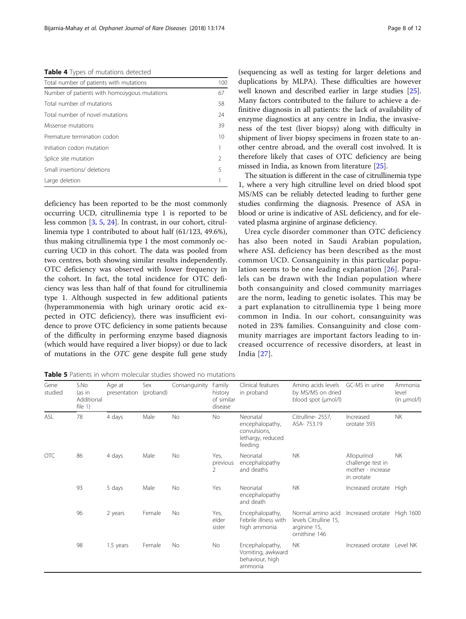<span id="page-7-0"></span>Table 4 Types of mutations detected

| Total number of patients with mutations      | 100            |
|----------------------------------------------|----------------|
| Number of patients with homozygous mutations | 67             |
| Total number of mutations                    | 58             |
| Total number of novel mutations              | 24             |
| Missense mutations                           | 39             |
| Premature termination codon                  | 10             |
| Initiation codon mutation                    | 1              |
| Splice site mutation                         | $\mathfrak{D}$ |
| Small insertions/ deletions                  | 5              |
| Large deletion                               |                |

deficiency has been reported to be the most commonly occurring UCD, citrullinemia type 1 is reported to be less common [[3,](#page-10-0) [5,](#page-10-0) [24\]](#page-10-0). In contrast, in our cohort, citrullinemia type 1 contributed to about half (61/123, 49.6%), thus making citrullinemia type 1 the most commonly occurring UCD in this cohort. The data was pooled from two centres, both showing similar results independently. OTC deficiency was observed with lower frequency in the cohort. In fact, the total incidence for OTC deficiency was less than half of that found for citrullinemia type 1. Although suspected in few additional patients (hyperammonemia with high urinary orotic acid expected in OTC deficiency), there was insufficient evidence to prove OTC deficiency in some patients because of the difficulty in performing enzyme based diagnosis (which would have required a liver biopsy) or due to lack of mutations in the OTC gene despite full gene study

Table 5 Patients in whom molecular studies showed no mutations

S.No

(sequencing as well as testing for larger deletions and duplications by MLPA). These difficulties are however well known and described earlier in large studies [\[25](#page-10-0)]. Many factors contributed to the failure to achieve a definitive diagnosis in all patients: the lack of availability of enzyme diagnostics at any centre in India, the invasiveness of the test (liver biopsy) along with difficulty in shipment of liver biopsy specimens in frozen state to another centre abroad, and the overall cost involved. It is therefore likely that cases of OTC deficiency are being missed in India, as known from literature [[25\]](#page-10-0).

The situation is different in the case of citrullinemia type 1, where a very high citrulline level on dried blood spot MS/MS can be reliably detected leading to further gene studies confirming the diagnosis. Presence of ASA in blood or urine is indicative of ASL deficiency, and for elevated plasma arginine of arginase deficiency.

Urea cycle disorder commoner than OTC deficiency has also been noted in Saudi Arabian population, where ASL deficiency has been described as the most common UCD. Consanguinity in this particular population seems to be one leading explanation [\[26\]](#page-10-0). Parallels can be drawn with the Indian population where both consanguinity and closed community marriages are the norm, leading to genetic isolates. This may be a part explanation to citrullinemia type 1 being more common in India. In our cohort, consanguinity was noted in 23% families. Consanguinity and close community marriages are important factors leading to increased occurrence of recessive disorders, at least in India [[27](#page-10-0)].

| (as in<br>Additional<br>file $1)$ | presentation | Sex<br>(proband) |           | history<br>of similar<br>disease | Clinical features<br>in proband                                             | by MS/MS on dried<br>blood spot (µmol/l)                                    |                                                                     | Ammonia<br>level<br>$(in \mu mol/l)$ |
|-----------------------------------|--------------|------------------|-----------|----------------------------------|-----------------------------------------------------------------------------|-----------------------------------------------------------------------------|---------------------------------------------------------------------|--------------------------------------|
| 78                                | 4 days       | Male             | <b>No</b> | <b>No</b>                        | Neonatal<br>encephalopathy,<br>convulsions.<br>lethargy, reduced<br>feeding | Citrulline-2557,<br>ASA-753.19                                              | Increased<br>orotate 393                                            | <b>NK</b>                            |
| 86                                | 4 days       | Male             | No        | Yes,<br>previous<br>2            | Neonatal<br>encephalopathy<br>and deaths                                    | <b>NK</b>                                                                   | Allopurinol<br>challenge test in<br>mother - increase<br>in orotate | <b>NK</b>                            |
| 93                                | 5 days       | Male             | No        | Yes                              | Neonatal<br>encephalopathy<br>and death                                     | <b>NK</b>                                                                   | Increased orotate High                                              |                                      |
| 96                                | 2 years      | Female           | No        | Yes,<br>elder<br>sister          | Encephalopathy,<br>Febrile illness with<br>high ammonia                     | Normal amino acid<br>levels Citrulline 15,<br>arginine 15,<br>ornithine 146 | Increased orotate High 1600                                         |                                      |
| 98                                | 1.5 years    | Female           | No        | No                               | Encephalopathy,<br>Vomiting, awkward<br>behaviour, high<br>ammonia          | <b>NK</b>                                                                   | Increased orotate                                                   | Level NK                             |
|                                   |              | S.No<br>Age at   |           |                                  | Consanguinity<br>Family                                                     |                                                                             |                                                                     | Amino acids levels<br>GC-MS in urine |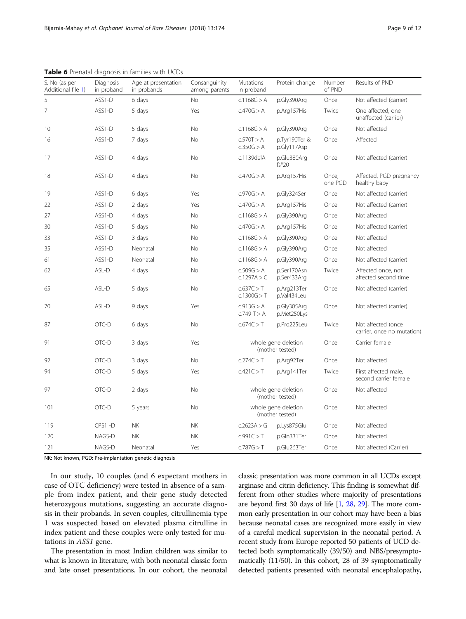| S. No (as per<br>Additional file 1) | Diagnosis<br>in proband | Age at presentation<br>in probands | Consanguinity<br>among parents | Mutations<br>in proband   | Protein change                         | Number<br>of PND | Results of PND                                   |
|-------------------------------------|-------------------------|------------------------------------|--------------------------------|---------------------------|----------------------------------------|------------------|--------------------------------------------------|
| 5                                   | ASS1-D                  | 6 days                             | No                             | c.1168G > A               | p.Gly390Arg                            | Once             | Not affected (carrier)                           |
| $\overline{7}$                      | ASS1-D                  | 5 days                             | Yes                            | c.470G > A                | p.Arg157His                            | Twice            | One affected, one<br>unaffected (carrier)        |
| 10                                  | ASS1-D                  | 5 days                             | <b>No</b>                      | c.1168G > A               | p.Gly390Arg                            | Once             | Not affected                                     |
| 16                                  | ASS1-D                  | 7 days                             | <b>No</b>                      | c.570T > A<br>c.350G > A  | p.Tyr190Ter &<br>p.Gly117Asp           | Once             | Affected                                         |
| 17                                  | ASS1-D                  | 4 days                             | <b>No</b>                      | c.1139delA                | p.Glu380Arg<br>$fs*20$                 | Once             | Not affected (carrier)                           |
| 18                                  | ASS1-D                  | 4 days                             | <b>No</b>                      | c.470G > A                | p.Arg157His                            | Once,<br>one PGD | Affected, PGD pregnancy<br>healthy baby          |
| 19                                  | ASS1-D                  | 6 days                             | Yes                            | c.970G > A                | p.Gly324Ser                            | Once             | Not affected (carrier)                           |
| 22                                  | ASS1-D                  | 2 days                             | Yes                            | c.470G > A                | p.Arg157His                            | Once             | Not affected (carrier)                           |
| 27                                  | ASS1-D                  | 4 days                             | No                             | c.1168G > A               | p.Gly390Arg                            | Once             | Not affected                                     |
| 30                                  | ASS1-D                  | 5 days                             | No                             | c.470G > A                | p.Arg157His                            | Once             | Not affected (carrier)                           |
| 33                                  | ASS1-D                  | 3 days                             | No                             | c.1168G > A               | p.Gly390Arg                            | Once             | Not affected                                     |
| 35                                  | ASS1-D                  | Neonatal                           | <b>No</b>                      | c.1168G > A               | p.Gly390Arg                            | Once             | Not affected                                     |
| 61                                  | ASS1-D                  | Neonatal                           | No                             | c.1168G > A               | p.Gly390Arg                            | Once             | Not affected (carrier)                           |
| 62                                  | ASL-D                   | 4 days                             | <b>No</b>                      | c.509G > A<br>c.1297A > C | p.Ser170Asn<br>p.Ser433Arg             | Twice            | Affected once, not<br>affected second time       |
| 65                                  | ASL-D                   | 5 days                             | No                             | c.637C > T<br>c.1300G > T | p.Arg213Ter<br>p.Val434Leu             | Once             | Not affected (carrier)                           |
| 70                                  | ASL-D                   | 9 days                             | Yes                            | c.913G > A<br>c.749 T > A | p.Gly305Arg<br>p.Met250Lys             | Once             | Not affected (carrier)                           |
| 87                                  | OTC-D                   | 6 days                             | No                             | c.674C > T                | p.Pro225Leu                            | Twice            | Not affected (once<br>carrier, once no mutation) |
| 91                                  | OTC-D                   | 3 days                             | Yes                            |                           | whole gene deletion<br>(mother tested) | Once             | Carrier female                                   |
| 92                                  | OTC-D                   | 3 days                             | No                             | c.274C > T                | p.Arg92Ter                             | Once             | Not affected                                     |
| 94                                  | OTC-D                   | 5 days                             | Yes                            | c.421C > T                | p.Arg141Ter                            | Twice            | First affected male,<br>second carrier female    |
| 97                                  | OTC-D                   | 2 days                             | <b>No</b>                      |                           | whole gene deletion<br>(mother tested) | Once             | Not affected                                     |
| 101                                 | OTC-D                   | 5 years                            | No                             |                           | whole gene deletion<br>(mother tested) | Once             | Not affected                                     |
| 119                                 | CPS1-D                  | <b>NK</b>                          | <b>NK</b>                      | c.2623A > G               | p.Lys875Glu                            | Once             | Not affected                                     |
| 120                                 | NAGS-D                  | <b>NK</b>                          | <b>NK</b>                      | c.991C > T                | p.Gln331Ter                            | Once             | Not affected                                     |
| 121                                 | NAGS-D                  | Neonatal                           | Yes                            | c.787G > T                | p.Glu263Ter                            | Once             | Not affected (Carrier)                           |

<span id="page-8-0"></span>Table 6 Prenatal diagnosis in families with UCDs

NK: Not known, PGD: Pre-implantation genetic diagnosis

In our study, 10 couples (and 6 expectant mothers in case of OTC deficiency) were tested in absence of a sample from index patient, and their gene study detected heterozygous mutations, suggesting an accurate diagnosis in their probands. In seven couples, citrullinemia type 1 was suspected based on elevated plasma citrulline in index patient and these couples were only tested for mutations in ASS1 gene.

The presentation in most Indian children was similar to what is known in literature, with both neonatal classic form and late onset presentations. In our cohort, the neonatal classic presentation was more common in all UCDs except arginase and citrin deficiency. This finding is somewhat different from other studies where majority of presentations are beyond first 30 days of life [\[1](#page-10-0), [28,](#page-10-0) [29\]](#page-10-0). The more common early presentation in our cohort may have been a bias because neonatal cases are recognized more easily in view of a careful medical supervision in the neonatal period. A recent study from Europe reported 50 patients of UCD detected both symptomatically (39/50) and NBS/presymptomatically (11/50). In this cohort, 28 of 39 symptomatically detected patients presented with neonatal encephalopathy,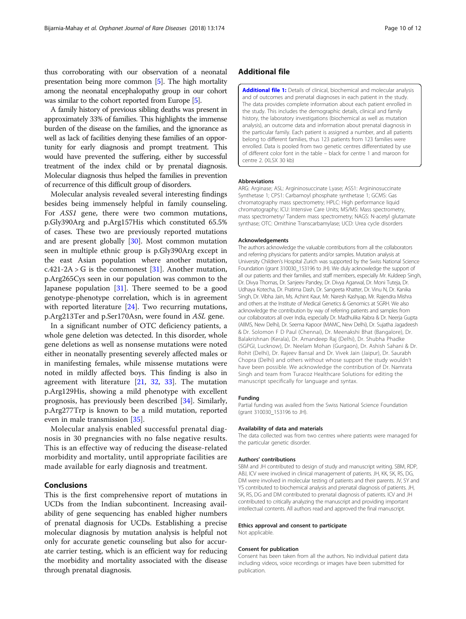<span id="page-9-0"></span>thus corroborating with our observation of a neonatal presentation being more common [\[5\]](#page-10-0). The high mortality among the neonatal encephalopathy group in our cohort was similar to the cohort reported from Europe [\[5](#page-10-0)].

A family history of previous sibling deaths was present in approximately 33% of families. This highlights the immense burden of the disease on the families, and the ignorance as well as lack of facilities denying these families of an opportunity for early diagnosis and prompt treatment. This would have prevented the suffering, either by successful treatment of the index child or by prenatal diagnosis. Molecular diagnosis thus helped the families in prevention of recurrence of this difficult group of disorders.

Molecular analysis revealed several interesting findings besides being immensely helpful in family counseling. For ASS1 gene, there were two common mutations, p.Gly390Arg and p.Arg157His which constituted 65.5% of cases. These two are previously reported mutations and are present globally [[30\]](#page-10-0). Most common mutation seen in multiple ethnic group is p.Gly390Arg except in the east Asian population where another mutation, c.421-2A > G is the commonest [[31](#page-10-0)]. Another mutation, p.Arg265Cys seen in our population was common to the Japanese population [[31\]](#page-10-0). There seemed to be a good genotype-phenotype correlation, which is in agreement with reported literature [[24\]](#page-10-0). Two recurring mutations, p.Arg213Ter and p.Ser170Asn, were found in ASL gene.

In a significant number of OTC deficiency patients, a whole gene deletion was detected. In this disorder, whole gene deletions as well as nonsense mutations were noted either in neonatally presenting severely affected males or in manifesting females, while missense mutations were noted in mildly affected boys. This finding is also in agreement with literature [\[21,](#page-10-0) [32,](#page-10-0) [33](#page-10-0)]. The mutation p.Arg129His, showing a mild phenotype with excellent prognosis, has previously been described [[34](#page-10-0)]. Similarly, p.Arg277Trp is known to be a mild mutation, reported even in male transmission [[35\]](#page-11-0).

Molecular analysis enabled successful prenatal diagnosis in 30 pregnancies with no false negative results. This is an effective way of reducing the disease-related morbidity and mortality, until appropriate facilities are made available for early diagnosis and treatment.

## Conclusions

This is the first comprehensive report of mutations in UCDs from the Indian subcontinent. Increasing availability of gene sequencing has enabled higher numbers of prenatal diagnosis for UCDs. Establishing a precise molecular diagnosis by mutation analysis is helpful not only for accurate genetic counseling but also for accurate carrier testing, which is an efficient way for reducing the morbidity and mortality associated with the disease through prenatal diagnosis.

## Additional file

[Additional file 1:](https://doi.org/10.1186/s13023-018-0908-1) Details of clinical, biochemical and molecular analysis and of outcomes and prenatal diagnoses in each patient in the study. The data provides complete information about each patient enrolled in the study. This includes the demographic details, clinical and family history, the laboratory investigations (biochemical as well as mutation analysis), an outcome data and information about prenatal diagnosis in the particular family. Each patient is assigned a number, and all patients belong to different families, thus 123 patients from 123 families were enrolled. Data is pooled from two genetic centres differentiated by use of different color font in the table – black for centre 1 and maroon for centre 2. (XLSX 30 kb)

#### Abbreviations

ARG: Arginase; ASL: Argininosuccinate Lyase; ASS1: Argininosuccinate Synthetase 1; CPS1: Carbamoyl phosphate synthetase 1; GCMS: Gas chromatography mass spectrometry; HPLC: High performance liquid chromatography; ICU: Intensive Care Units; MS/MS: Mass spectrometry, mass spectrometry/ Tandem mass spectrometry; NAGS: N-acetyl glutamate synthase; OTC: Ornithine Transcarbamylase; UCD: Urea cycle disorders

#### Acknowledgements

The authors acknowledge the valuable contributions from all the collaborators and referring physicians for patients and/or samples. Mutation analysis at University Children's Hospital Zurich was supported by the Swiss National Science Foundation (grant 310030\_153196 to JH). We duly acknowledge the support of all our patients and their families, and staff members, especially Mr. Kuldeep Singh, Dr. Divya Thomas, Dr. Sanjeev Pandey, Dr. Divya Agarwal, Dr. Moni Tuteja, Dr. Udhaya Kotecha, Dr. Pratima Dash, Dr. Sangeeta Khatter, Dr. Vinu N, Dr. Kanika Singh, Dr. Vibha Jain, Ms. Achint Kaur, Mr. Naresh Kashyap, Mr. Rajendra Mishra and others at the Institute of Medical Genetics & Genomics at SGRH. We also acknowledge the contribution by way of referring patients and samples from our collaborators all over India, especially Dr. Madhulika Kabra & Dr. Neerja Gupta (AIIMS, New Delhi), Dr. Seema Kapoor (MAMC, New Delhi), Dr. Sujatha Jagadeesh & Dr. Solomon F D Paul (Chennai), Dr. Meenakshi Bhat (Bangalore), Dr. Balakrishnan (Kerala), Dr. Amandeep Raj (Delhi), Dr. Shubha Phadke (SGPGI, Lucknow), Dr. Neelam Mohan (Gurgaon), Dr. Ashish Sahani & Dr. Rohit (Delhi), Dr. Rajeev Bansal and Dr. Vivek Jain (Jaipur), Dr. Saurabh Chopra (Delhi) and others without whose support the study wouldn't have been possible. We acknowledge the contribution of Dr. Namrata Singh and team from Turacoz Healthcare Solutions for editing the manuscript specifically for language and syntax.

#### Funding

Partial funding was availed from the Swiss National Science Foundation (grant 310030\_153196 to JH).

#### Availability of data and materials

The data collected was from two centres where patients were managed for the particular genetic disorder.

#### Authors' contributions

SBM and JH contributed to design of study and manuscript writing. SBM, RDP, ABJ, ICV were involved in clinical management of patients. JH, KK, SK, RS, DG, DM were involved in molecular testing of patients and their parents. JV, SY and YS contributed to biochemical analysis and prenatal diagnosis of patients. JH, SK, RS, DG and DM contributed to prenatal diagnosis of patients. ICV and JH contributed to critically analyzing the manuscript and providing important intellectual contents. All authors read and approved the final manuscript.

#### Ethics approval and consent to participate

Not applicable.

#### Consent for publication

Consent has been taken from all the authors. No individual patient data including videos, voice recordings or images have been submitted for publication.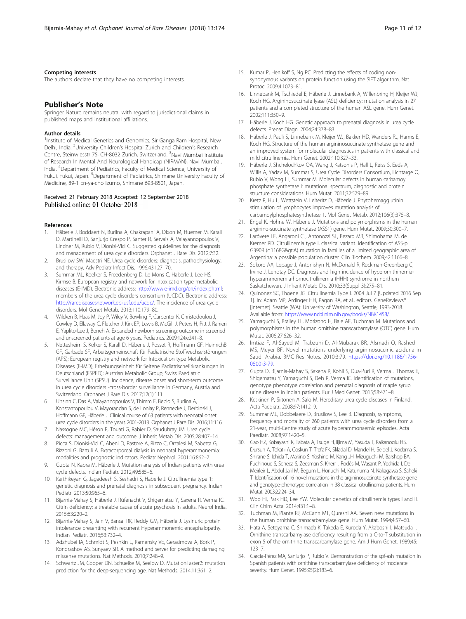#### <span id="page-10-0"></span>Competing interests

The authors declare that they have no competing interests.

#### Publisher's Note

Springer Nature remains neutral with regard to jurisdictional claims in published maps and institutional affiliations.

#### Author details

<sup>1</sup>Institute of Medical Genetics and Genomics, Sir Ganga Ram Hospital, New Delhi, India. <sup>2</sup>University Children's Hospital Zurich and Children's Research Centre, Steinwiesstr 75, CH-8032 Zurich, Switzerland. <sup>3</sup>Navi Mumbai Institute of Research In Mental And Neurological Handicap (NIRMAN), Navi Mumbai, India. <sup>4</sup> Department of Pediatrics, Faculty of Medical Science, University of Fukui, Fukui, Japan. <sup>5</sup>Department of Pediatrics, Shimane University Faculty of Medicine, 89-1 En-ya-cho Izumo, Shimane 693-8501, Japan.

## Received: 21 February 2018 Accepted: 12 September 2018 Published online: 01 October 2018

#### References

- 1. Häberle J, Boddaert N, Burlina A, Chakrapani A, Dixon M, Huemer M, Karall D, Martinelli D, Sanjurjo Crespo P, Santer R, Servais A, Valayannopoulos V, Lindner M, Rubio V, Dionisi-Vici C. Suggested guidelines for the diagnosis and management of urea cycle disorders. Orphanet J Rare Dis. 2012;7:32.
- 2. Brusilow SW, Maestri NE. Urea cycle disorders: diagnosis, pathophysiology, and therapy. Adv Pediatr Infect Dis. 1996;43:127–70.
- Summar ML, Koelker S, Freedenberg D, Le Mons C, Haberle J, Lee HS, Kirmse B. European registry and network for intoxication type metabolic diseases (E-IMD). Electronic address: [http://www.e-imd.org/en/index.phtml;](http://www.e-imd.org/en/index.phtml) members of the urea cycle disorders consortium (UCDC). Electronic address: <http://rarediseasesnetwork.epi.usf.edu/ucdc/>. The incidence of urea cycle disorders. Mol Genet Metab. 2013;110:179–80.
- 4. Wilcken B, Haas M, Joy P, Wiley V, Bowling F, Carpenter K, Christodoulou J, Cowley D, Ellaway C, Fletcher J, Kirk EP, Lewis B, McGill J, Peters H, Pitt J, Ranieri E, Yaplito-Lee J, Boneh A. Expanded newborn screening: outcome in screened and unscreened patients at age 6 years. Pediatrics. 2009;124:e241–8.
- 5. Nettesheim S, Kölker S, Karall D, Häberle J, Posset R, Hoffmann GF, HeinrichB GF, Garbade SF, Arbeitsgemeinschaft für Pädiatrische Stoffwechselstörungen (APS); European registry and network for Intoxication type Metabolic Diseases (E-IMD); Erhebungseinheit für Seltene PädiatrischeErkrankungen in Deutschland (ESPED); Austrian Metabolic Group; Swiss Paediatric Surveillance Unit (SPSU). Incidence, disease onset and short-term outcome in urea cycle disorders -cross-border surveillance in Germany, Austria and Switzerland. Orphanet J Rare Dis. 2017;12(1):111.
- Unsinn C, Das A, Valayannopoulos V, Thimm E, Beblo S, Burlina A, Konstantopoulou V, Mayorandan S, de Lonlay P, Rennecke J, Derbinski J, Hoffmann GF, Häberle J. Clinical course of 63 patients with neonatal onset urea cycle disorders in the years 2001-2013. Orphanet J Rare Dis. 2016;11:116.
- 7. Nassogne MC, Héron B, Touati G, Rabier D, Saudubray JM. Urea cycle defects: management and outcome. J Inherit Metab Dis. 2005;28:407–14.
- Picca S, Dionisi-Vici C, Abeni D, Pastore A, Rizzo C, Orzalesi M, Sabetta G, Rizzoni G, Bartuli A. Extracorporeal dialysis in neonatal hyperammonemia: modalities and prognostic indicators. Pediatr Nephrol. 2001;16:862–7.
- 9. Gupta N, Kabra M, Häberle J. Mutation analysis of Indian patients with urea cycle defects. Indian Pediatr. 2012;49:585–6.
- 10. Karthikeyan G, Jagadeesh S, Seshadri S, Häberle J. Citrullinemia type 1: genetic diagnosis and prenatal diagnosis in subsequent pregnancy. Indian Pediatr. 2013;50:965–6.
- 11. Bijarnia-Mahay S, Häberle J, Rüfenacht V, Shigematsu Y, Saxena R, Verma IC. Citrin deficiency: a treatable cause of acute psychosis in adults. Neurol India. 2015;63:220–2.
- 12. Bijarnia-Mahay S, Jain V, Bansal RK, Reddy GM, Häberle J. Lysinuric protein intolerance presenting with recurrent Hyperammonemic encephalopathy. Indian Pediatr. 2016;53:732–4.
- 13. Adzhubei IA, Schmidt S, Peshkin L, Ramensky VE, Gerasimova A, Bork P, Kondrashov AS, Sunyaev SR. A method and server for predicting damaging missense mutations. Nat Methods. 2010;7:248–9.
- 14. Schwartz JM, Cooper DN, Schuelke M, Seelow D. MutationTaster2: mutation prediction for the deep-sequencing age. Nat Methods. 2014;11:361–2.
- 15. Kumar P, Henikoff S, Ng PC. Predicting the effects of coding nonsynonymous variants on protein function using the SIFT algorithm. Nat Protoc. 2009;4:1073–81.
- 16. Linnebank M, Tschiedel E, Häberle J, Linnebank A, Willenbring H, Kleijer WJ, Koch HG. Argininosuccinate lyase (ASL) deficiency: mutation analysis in 27 patients and a completed structure of the human ASL gene. Hum Genet. 2002;111:350–9.
- 17. Häberle J, Koch HG. Genetic approach to prenatal diagnosis in urea cycle defects. Prenat Diagn. 2004;24:378–83.
- 18. Häberle J, Pauli S, Linnebank M, Kleijer WJ, Bakker HD, Wanders RJ, Harms E, Koch HG. Structure of the human argininosuccinate synthetase gene and an improved system for molecular diagnostics in patients with classical and mild citrullinemia. Hum Genet. 2002;110:327–33.
- 19. Häberle J, Shchelochkov OA, Wang J, Katsonis P, Hall L, Reiss S, Eeds A, Willis A, Yadav M, Summar S, Urea Cycle Disorders Consortium, Lichtarge O, Rubio V, Wong LJ, Summar M. Molecular defects in human carbamoyl phosphate synthetase I: mutational spectrum, diagnostic and protein structure considerations. Hum Mutat. 2011;32:579–89.
- 20. Kretz R, Hu L, Wettstein V, Leiteritz D, Häberle J. Phytohemagglutinin stimulation of lymphocytes improves mutation analysis of carbamoylphosphatesynthetase 1. Mol Genet Metab. 2012;106(3):375–8.
- 21. Engel K, Höhne W, Häberle J. Mutations and polymorphisms in the human arginino-succinate synthetase (ASS1) gene. Hum Mutat. 2009;30:300–7.
- 22. Laróvere LE, Angaroni CJ, Antonozzi SL, Bezard MB, Shimohama M, de Kremer RD. Citrullinemia type I, classical variant. Identification of ASS-p. G390R (c.1168G&qt:A) mutation in families of a limited geographic area of Argentina: a possible population cluster. Clin Biochem. 2009;42:1166–8.
- 23. Sokoro AA, Lepage J, Antonishyn N, McDonald R, Rockman-Greenberg C, Irvine J, Lehotay DC. Diagnosis and high incidence of hyperornithinemiahyperammonemia-homocitrullinemia (HHH) syndrome in northern Saskatchewan. J Inherit Metab Dis. 2010;33(Suppl 3):275–81.
- 24. Quinonez SC, Thoene JG. Citrullinemia Type I. 2004 Jul 7 [Updated 2016 Sep 1]. In: Adam MP, Ardinger HH, Pagon RA, et al., editors. GeneReviews® [Internet]. Seattle (WA): University of Washington, Seattle; 1993-2018. Available from: [https://www.ncbi.nlm.nih.gov/books/NBK1458/.](https://www.ncbi.nlm.nih.gov/books/NBK1458/)
- 25. Yamaguchi S, Brailey LL, Morizono H, Bale AE, Tuchman M. Mutations and polymorphisms in the human ornithine transcarbamylase (OTC) gene. Hum Mutat. 2006;27:626–32.
- 26. Imtiaz F, Al-Sayed M, Trabzuni D, Al-Mubarak BR, Alsmadi O, Rashed MS, Meyer BF. Novel mutations underlying argininosuccinic aciduria in Saudi Arabia. BMC Res Notes. 2010;3:79. [https://doi.org/10.1186/1756-](https://doi.org/10.1186/1756-0500-3-79) [0500-3-79](https://doi.org/10.1186/1756-0500-3-79).
- 27. Gupta D, Bijarnia-Mahay S, Saxena R, Kohli S, Dua-Puri R, Verma J Thomas E, Shigematsu Y, Yamaguchi S, Deb R, Verma IC. Identification of mutations, genotype phenotype correlation and prenatal diagnosis of maple syrup urine disease in Indian patients. Eur J Med Genet. 2015;58:471–8.
- 28. Keskinen P, Siitonen A, Salo M. Hereditary urea cycle diseases in Finland. Acta Paediatr. 2008;97:1412–9.
- 29. Summar ML, Dobbelaere D, Brusilow S, Lee B. Diagnosis, symptoms, frequency and mortality of 260 patients with urea cycle disorders from a 21-year, multi-Centre study of acute hyperammonaemic episodes. Acta Paediatr. 2008;97:1420–5.
- 30. Gao HZ, Kobayashi K, Tabata A, Tsuge H, Iijima M, Yasuda T, Kalkanoglu HS, Dursun A, Tokatli A, Coskun T, Trefz FK, Skladal D, Mandel H, Seidel J, Kodama S, Shirane S, Ichida T, Makino S, Yoshino M, Kang JH, Mizuguchi M, Barshop BA, Fuchinoue S, Seneca S, Zeesman S, Knerr I, Rodés M, Wasant P, Yoshida I, De Meirleir L, Abdul Jalil M, Begum L, Horiuchi M, Katunuma N, Nakagawa S, Saheki T. Identification of 16 novel mutations in the argininosuccinate synthetase gene and genotype-phenotype correlation in 38 classical citrullinemia patients. Hum Mutat. 2003;22:24–34.
- 31. Woo HI, Park HD, Lee YW. Molecular genetics of citrullinemia types I and II. Clin Chim Acta. 2014;431:1–8.
- 32. Tuchman M, Plante RJ, McCann MT, Qureshi AA. Seven new mutations in the human ornithine transcarbamylase gene. Hum Mutat. 1994;4:57–60.
- 33. Hata A, Setoyama C, Shimada K, Takeda E, Kuroda Y, Akaboshi I, Matsuda I. Ornithine transcarbamylase deficiency resulting from a C-to-T substitution in exon 5 of the ornithine transcarbamylase gene. Am J Hum Genet. 1989;45: 123–7.
- 34. García-Pérez MA, Sanjurjo P, Rubio V. Demonstration of the spf-ash mutation in Spanish patients with ornithine transcarbamylase deficiency of moderate severity. Hum Genet. 1995;95(2):183–6.